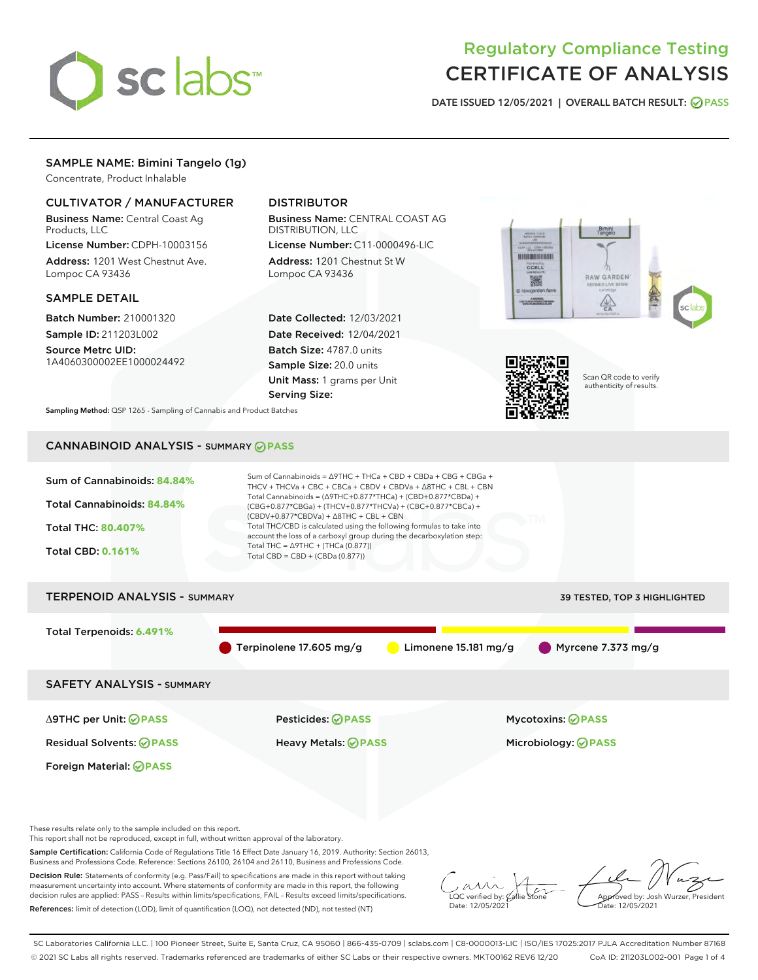

# Regulatory Compliance Testing CERTIFICATE OF ANALYSIS

DATE ISSUED 12/05/2021 | OVERALL BATCH RESULT: @ PASS

## SAMPLE NAME: Bimini Tangelo (1g)

Concentrate, Product Inhalable

## CULTIVATOR / MANUFACTURER

Business Name: Central Coast Ag Products, LLC

License Number: CDPH-10003156 Address: 1201 West Chestnut Ave. Lompoc CA 93436

#### SAMPLE DETAIL

Batch Number: 210001320 Sample ID: 211203L002

Source Metrc UID: 1A4060300002EE1000024492

## DISTRIBUTOR

Business Name: CENTRAL COAST AG DISTRIBUTION, LLC

License Number: C11-0000496-LIC Address: 1201 Chestnut St W Lompoc CA 93436

Date Collected: 12/03/2021 Date Received: 12/04/2021 Batch Size: 4787.0 units Sample Size: 20.0 units Unit Mass: 1 grams per Unit Serving Size:





Scan QR code to verify authenticity of results.

Sampling Method: QSP 1265 - Sampling of Cannabis and Product Batches

## CANNABINOID ANALYSIS - SUMMARY **PASS**



Sample Certification: California Code of Regulations Title 16 Effect Date January 16, 2019. Authority: Section 26013, Business and Professions Code. Reference: Sections 26100, 26104 and 26110, Business and Professions Code.

Decision Rule: Statements of conformity (e.g. Pass/Fail) to specifications are made in this report without taking measurement uncertainty into account. Where statements of conformity are made in this report, the following decision rules are applied: PASS – Results within limits/specifications, FAIL – Results exceed limits/specifications. References: limit of detection (LOD), limit of quantification (LOQ), not detected (ND), not tested (NT)

 $\overline{\text{C}}$  verified by:  $\mathcal C$ Date: 12/05/2021

**A**<br>Approved by: Josh Wurzer, President ate: 12/05/2021

SC Laboratories California LLC. | 100 Pioneer Street, Suite E, Santa Cruz, CA 95060 | 866-435-0709 | sclabs.com | C8-0000013-LIC | ISO/IES 17025:2017 PJLA Accreditation Number 87168 © 2021 SC Labs all rights reserved. Trademarks referenced are trademarks of either SC Labs or their respective owners. MKT00162 REV6 12/20 CoA ID: 211203L002-001 Page 1 of 4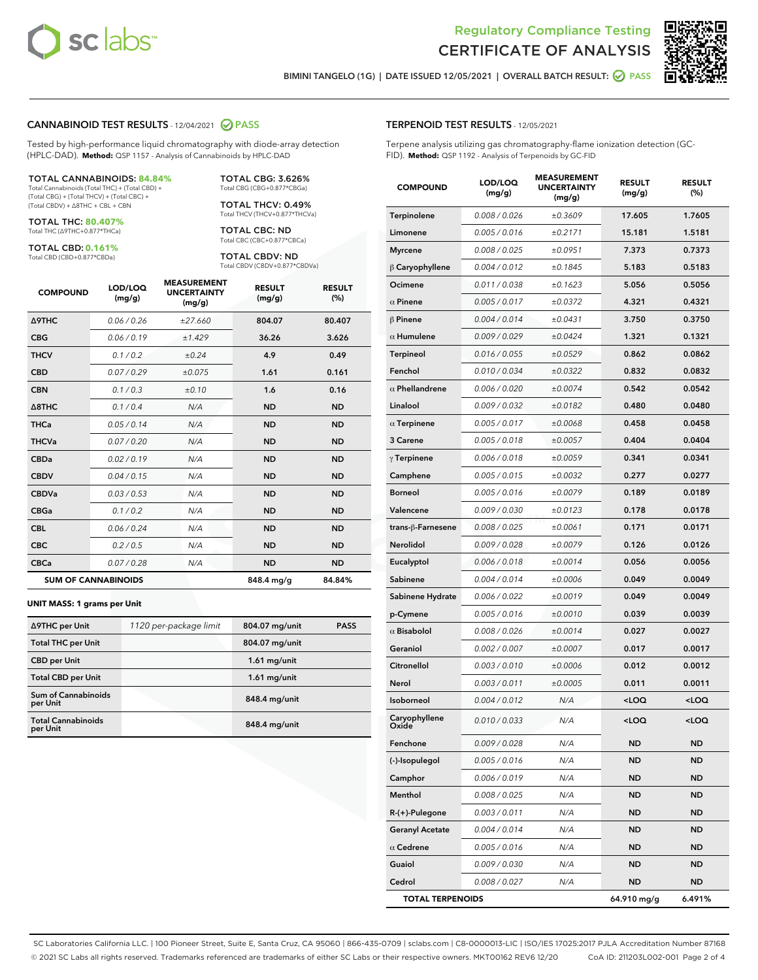



BIMINI TANGELO (1G) | DATE ISSUED 12/05/2021 | OVERALL BATCH RESULT: 2 PASS

#### CANNABINOID TEST RESULTS - 12/04/2021 2 PASS

Tested by high-performance liquid chromatography with diode-array detection (HPLC-DAD). **Method:** QSP 1157 - Analysis of Cannabinoids by HPLC-DAD

#### TOTAL CANNABINOIDS: **84.84%**

Total Cannabinoids (Total THC) + (Total CBD) + (Total CBG) + (Total THCV) + (Total CBC) + (Total CBDV) + ∆8THC + CBL + CBN

TOTAL THC: **80.407%** Total THC (∆9THC+0.877\*THCa)

TOTAL CBD: **0.161%**

Total CBD (CBD+0.877\*CBDa)

TOTAL CBG: 3.626% Total CBG (CBG+0.877\*CBGa)

TOTAL THCV: 0.49% Total THCV (THCV+0.877\*THCVa)

TOTAL CBC: ND Total CBC (CBC+0.877\*CBCa)

TOTAL CBDV: ND Total CBDV (CBDV+0.877\*CBDVa)

| <b>COMPOUND</b>  | LOD/LOQ<br>(mg/g)          | <b>MEASUREMENT</b><br><b>UNCERTAINTY</b><br>(mg/g) | <b>RESULT</b><br>(mg/g) | <b>RESULT</b><br>(%) |
|------------------|----------------------------|----------------------------------------------------|-------------------------|----------------------|
| <b>A9THC</b>     | 0.06 / 0.26                | ±27.660                                            | 804.07                  | 80.407               |
| <b>CBG</b>       | 0.06/0.19                  | ±1.429                                             | 36.26                   | 3.626                |
| <b>THCV</b>      | 0.1/0.2                    | ±0.24                                              | 4.9                     | 0.49                 |
| <b>CBD</b>       | 0.07/0.29                  | ±0.075                                             | 1.61                    | 0.161                |
| <b>CBN</b>       | 0.1 / 0.3                  | ±0.10                                              | 1.6                     | 0.16                 |
| $\triangle$ 8THC | 0.1/0.4                    | N/A                                                | <b>ND</b>               | <b>ND</b>            |
| <b>THCa</b>      | 0.05/0.14                  | N/A                                                | <b>ND</b>               | <b>ND</b>            |
| <b>THCVa</b>     | 0.07/0.20                  | N/A                                                | <b>ND</b>               | <b>ND</b>            |
| <b>CBDa</b>      | 0.02/0.19                  | N/A                                                | <b>ND</b>               | <b>ND</b>            |
| <b>CBDV</b>      | 0.04 / 0.15                | N/A                                                | <b>ND</b>               | <b>ND</b>            |
| <b>CBDVa</b>     | 0.03/0.53                  | N/A                                                | <b>ND</b>               | <b>ND</b>            |
| <b>CBGa</b>      | 0.1 / 0.2                  | N/A                                                | <b>ND</b>               | <b>ND</b>            |
| <b>CBL</b>       | 0.06 / 0.24                | N/A                                                | <b>ND</b>               | <b>ND</b>            |
| <b>CBC</b>       | 0.2 / 0.5                  | N/A                                                | <b>ND</b>               | <b>ND</b>            |
| <b>CBCa</b>      | 0.07 / 0.28                | N/A                                                | <b>ND</b>               | <b>ND</b>            |
|                  | <b>SUM OF CANNABINOIDS</b> |                                                    | 848.4 mg/g              | 84.84%               |

#### **UNIT MASS: 1 grams per Unit**

| ∆9THC per Unit                         | 1120 per-package limit | 804.07 mg/unit | <b>PASS</b> |
|----------------------------------------|------------------------|----------------|-------------|
| <b>Total THC per Unit</b>              |                        | 804.07 mg/unit |             |
| <b>CBD</b> per Unit                    |                        | $1.61$ mg/unit |             |
| <b>Total CBD per Unit</b>              |                        | $1.61$ mg/unit |             |
| <b>Sum of Cannabinoids</b><br>per Unit |                        | 848.4 mg/unit  |             |
| <b>Total Cannabinoids</b><br>per Unit  |                        | 848.4 mg/unit  |             |

| <b>COMPOUND</b>         | LOD/LOQ<br>(mg/g) | <b>MEASUREMENT</b><br><b>UNCERTAINTY</b><br>(mg/g) | <b>RESULT</b><br>(mg/g)                         | <b>RESULT</b><br>$(\%)$ |
|-------------------------|-------------------|----------------------------------------------------|-------------------------------------------------|-------------------------|
| Terpinolene             | 0.008 / 0.026     | ±0.3609                                            | 17.605                                          | 1.7605                  |
| Limonene                | 0.005 / 0.016     | ±0.2171                                            | 15.181                                          | 1.5181                  |
| <b>Myrcene</b>          | 0.008 / 0.025     | ±0.0951                                            | 7.373                                           | 0.7373                  |
| $\beta$ Caryophyllene   | 0.004 / 0.012     | ±0.1845                                            | 5.183                                           | 0.5183                  |
| Ocimene                 | 0.011 / 0.038     | ±0.1623                                            | 5.056                                           | 0.5056                  |
| $\alpha$ Pinene         | 0.005 / 0.017     | ±0.0372                                            | 4.321                                           | 0.4321                  |
| $\beta$ Pinene          | 0.004 / 0.014     | ±0.0431                                            | 3.750                                           | 0.3750                  |
| $\alpha$ Humulene       | 0.009 / 0.029     | ±0.0424                                            | 1.321                                           | 0.1321                  |
| Terpineol               | 0.016 / 0.055     | ±0.0529                                            | 0.862                                           | 0.0862                  |
| Fenchol                 | 0.010 / 0.034     | ±0.0322                                            | 0.832                                           | 0.0832                  |
| $\alpha$ Phellandrene   | 0.006 / 0.020     | ±0.0074                                            | 0.542                                           | 0.0542                  |
| Linalool                | 0.009 / 0.032     | ±0.0182                                            | 0.480                                           | 0.0480                  |
| $\alpha$ Terpinene      | 0.005 / 0.017     | ±0.0068                                            | 0.458                                           | 0.0458                  |
| 3 Carene                | 0.005 / 0.018     | ±0.0057                                            | 0.404                                           | 0.0404                  |
| $\gamma$ Terpinene      | 0.006 / 0.018     | ±0.0059                                            | 0.341                                           | 0.0341                  |
| Camphene                | 0.005 / 0.015     | ±0.0032                                            | 0.277                                           | 0.0277                  |
| <b>Borneol</b>          | 0.005 / 0.016     | ±0.0079                                            | 0.189                                           | 0.0189                  |
| Valencene               | 0.009 / 0.030     | ±0.0123                                            | 0.178                                           | 0.0178                  |
| trans-ß-Farnesene       | 0.008 / 0.025     | ±0.0061                                            | 0.171                                           | 0.0171                  |
| Nerolidol               | 0.009 / 0.028     | ±0.0079                                            | 0.126                                           | 0.0126                  |
| Eucalyptol              | 0.006 / 0.018     | ±0.0014                                            | 0.056                                           | 0.0056                  |
| Sabinene                | 0.004 / 0.014     | ±0.0006                                            | 0.049                                           | 0.0049                  |
| Sabinene Hydrate        | 0.006 / 0.022     | ±0.0019                                            | 0.049                                           | 0.0049                  |
| p-Cymene                | 0.005 / 0.016     | ±0.0010                                            | 0.039                                           | 0.0039                  |
| $\alpha$ Bisabolol      | 0.008 / 0.026     | ±0.0014                                            | 0.027                                           | 0.0027                  |
| Geraniol                | 0.002 / 0.007     | ±0.0007                                            | 0.017                                           | 0.0017                  |
| Citronellol             | 0.003 / 0.010     | ±0.0006                                            | 0.012                                           | 0.0012                  |
| Nerol                   | 0.003 / 0.011     | ±0.0005                                            | 0.011                                           | 0.0011                  |
| Isoborneol              | 0.004 / 0.012     | N/A                                                | <loq< th=""><th><loq< th=""></loq<></th></loq<> | <loq< th=""></loq<>     |
| Caryophyllene           | 0.010 / 0.033     | N/A                                                | $<$ LOQ                                         | <loq< th=""></loq<>     |
| Fenchone                | 0.009 / 0.028     | N/A                                                | <b>ND</b>                                       | ND                      |
| (-)-Isopulegol          | 0.005 / 0.016     | N/A                                                | ND                                              | ND                      |
| Camphor                 | 0.006 / 0.019     | N/A                                                | ND                                              | ND                      |
| Menthol                 | 0.008 / 0.025     | N/A                                                | <b>ND</b>                                       | ND                      |
| $R-(+)$ -Pulegone       | 0.003 / 0.011     | N/A                                                | ND                                              | ND                      |
| <b>Geranyl Acetate</b>  | 0.004 / 0.014     | N/A                                                | ND                                              | ND                      |
| $\alpha$ Cedrene        | 0.005 / 0.016     | N/A                                                | <b>ND</b>                                       | ND                      |
| Guaiol                  | 0.009 / 0.030     | N/A                                                | ND                                              | <b>ND</b>               |
| Cedrol                  | 0.008 / 0.027     | N/A                                                | ND                                              | ND                      |
| <b>TOTAL TERPENOIDS</b> |                   |                                                    | 64.910 mg/g                                     | 6.491%                  |

SC Laboratories California LLC. | 100 Pioneer Street, Suite E, Santa Cruz, CA 95060 | 866-435-0709 | sclabs.com | C8-0000013-LIC | ISO/IES 17025:2017 PJLA Accreditation Number 87168 © 2021 SC Labs all rights reserved. Trademarks referenced are trademarks of either SC Labs or their respective owners. MKT00162 REV6 12/20 CoA ID: 211203L002-001 Page 2 of 4

## TERPENOID TEST RESULTS - 12/05/2021

Terpene analysis utilizing gas chromatography-flame ionization detection (GC-FID). **Method:** QSP 1192 - Analysis of Terpenoids by GC-FID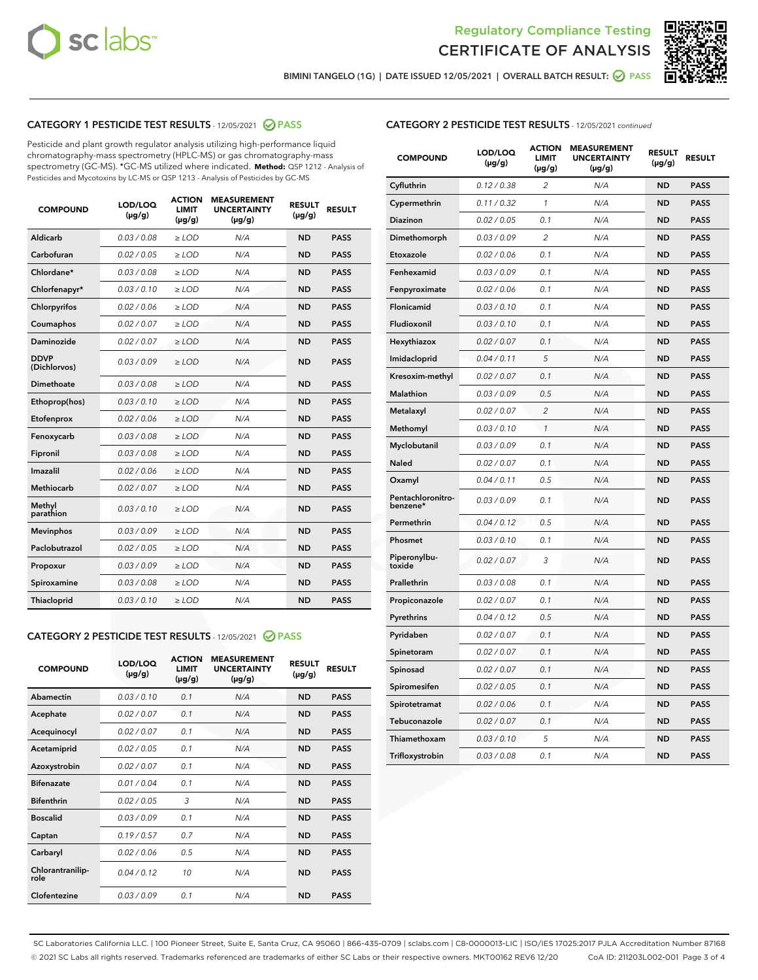



BIMINI TANGELO (1G) | DATE ISSUED 12/05/2021 | OVERALL BATCH RESULT: @ PASS

## CATEGORY 1 PESTICIDE TEST RESULTS - 12/05/2021 2 PASS

Pesticide and plant growth regulator analysis utilizing high-performance liquid chromatography-mass spectrometry (HPLC-MS) or gas chromatography-mass spectrometry (GC-MS). \*GC-MS utilized where indicated. **Method:** QSP 1212 - Analysis of Pesticides and Mycotoxins by LC-MS or QSP 1213 - Analysis of Pesticides by GC-MS

| <b>Aldicarb</b><br>0.03 / 0.08<br><b>ND</b><br>$\ge$ LOD<br>N/A<br><b>PASS</b><br>Carbofuran<br>0.02/0.05<br>$\ge$ LOD<br>N/A<br><b>ND</b><br><b>PASS</b><br>Chlordane*<br>0.03 / 0.08<br><b>ND</b><br>$>$ LOD<br>N/A<br><b>PASS</b><br>0.03/0.10<br><b>ND</b><br><b>PASS</b><br>Chlorfenapyr*<br>$\ge$ LOD<br>N/A<br>0.02 / 0.06<br>N/A<br><b>ND</b><br><b>PASS</b><br>Chlorpyrifos<br>$\ge$ LOD<br>0.02 / 0.07<br>N/A<br><b>ND</b><br><b>PASS</b><br>Coumaphos<br>$>$ LOD<br>Daminozide<br>0.02 / 0.07<br>$\ge$ LOD<br>N/A<br><b>ND</b><br><b>PASS</b><br><b>DDVP</b><br>0.03/0.09<br>$\ge$ LOD<br>N/A<br><b>ND</b><br><b>PASS</b><br>(Dichlorvos)<br>Dimethoate<br><b>ND</b><br><b>PASS</b><br>0.03 / 0.08<br>$>$ LOD<br>N/A<br>0.03/0.10<br>Ethoprop(hos)<br>$\ge$ LOD<br>N/A<br><b>ND</b><br><b>PASS</b><br>0.02 / 0.06<br>$\ge$ LOD<br>N/A<br><b>ND</b><br><b>PASS</b><br>Etofenprox<br>Fenoxycarb<br>0.03 / 0.08<br>$>$ LOD<br>N/A<br><b>ND</b><br><b>PASS</b><br>0.03 / 0.08<br><b>ND</b><br><b>PASS</b><br>Fipronil<br>$\ge$ LOD<br>N/A<br>Imazalil<br>0.02 / 0.06<br>$>$ LOD<br>N/A<br><b>ND</b><br><b>PASS</b><br>0.02 / 0.07<br>Methiocarb<br>N/A<br><b>ND</b><br>$>$ LOD<br><b>PASS</b><br>Methyl<br>0.03/0.10<br>$\ge$ LOD<br>N/A<br><b>ND</b><br><b>PASS</b><br>parathion<br>0.03/0.09<br>$\ge$ LOD<br>N/A<br><b>ND</b><br><b>PASS</b><br><b>Mevinphos</b><br>Paclobutrazol<br>0.02 / 0.05<br>$\ge$ LOD<br>N/A<br><b>ND</b><br><b>PASS</b><br>0.03/0.09<br>N/A<br>$\ge$ LOD<br><b>ND</b><br><b>PASS</b><br>Propoxur<br>0.03 / 0.08<br><b>ND</b><br><b>PASS</b><br>Spiroxamine<br>$\ge$ LOD<br>N/A<br><b>PASS</b><br>Thiacloprid<br>0.03/0.10<br>$\ge$ LOD<br>N/A<br><b>ND</b> | <b>COMPOUND</b> | LOD/LOQ<br>$(\mu g/g)$ | <b>ACTION</b><br>LIMIT<br>$(\mu g/g)$ | <b>MEASUREMENT</b><br><b>UNCERTAINTY</b><br>$(\mu g/g)$ | <b>RESULT</b><br>$(\mu g/g)$ | <b>RESULT</b> |
|----------------------------------------------------------------------------------------------------------------------------------------------------------------------------------------------------------------------------------------------------------------------------------------------------------------------------------------------------------------------------------------------------------------------------------------------------------------------------------------------------------------------------------------------------------------------------------------------------------------------------------------------------------------------------------------------------------------------------------------------------------------------------------------------------------------------------------------------------------------------------------------------------------------------------------------------------------------------------------------------------------------------------------------------------------------------------------------------------------------------------------------------------------------------------------------------------------------------------------------------------------------------------------------------------------------------------------------------------------------------------------------------------------------------------------------------------------------------------------------------------------------------------------------------------------------------------------------------------------------------------------------------------------------------------------------------|-----------------|------------------------|---------------------------------------|---------------------------------------------------------|------------------------------|---------------|
|                                                                                                                                                                                                                                                                                                                                                                                                                                                                                                                                                                                                                                                                                                                                                                                                                                                                                                                                                                                                                                                                                                                                                                                                                                                                                                                                                                                                                                                                                                                                                                                                                                                                                              |                 |                        |                                       |                                                         |                              |               |
|                                                                                                                                                                                                                                                                                                                                                                                                                                                                                                                                                                                                                                                                                                                                                                                                                                                                                                                                                                                                                                                                                                                                                                                                                                                                                                                                                                                                                                                                                                                                                                                                                                                                                              |                 |                        |                                       |                                                         |                              |               |
|                                                                                                                                                                                                                                                                                                                                                                                                                                                                                                                                                                                                                                                                                                                                                                                                                                                                                                                                                                                                                                                                                                                                                                                                                                                                                                                                                                                                                                                                                                                                                                                                                                                                                              |                 |                        |                                       |                                                         |                              |               |
|                                                                                                                                                                                                                                                                                                                                                                                                                                                                                                                                                                                                                                                                                                                                                                                                                                                                                                                                                                                                                                                                                                                                                                                                                                                                                                                                                                                                                                                                                                                                                                                                                                                                                              |                 |                        |                                       |                                                         |                              |               |
|                                                                                                                                                                                                                                                                                                                                                                                                                                                                                                                                                                                                                                                                                                                                                                                                                                                                                                                                                                                                                                                                                                                                                                                                                                                                                                                                                                                                                                                                                                                                                                                                                                                                                              |                 |                        |                                       |                                                         |                              |               |
|                                                                                                                                                                                                                                                                                                                                                                                                                                                                                                                                                                                                                                                                                                                                                                                                                                                                                                                                                                                                                                                                                                                                                                                                                                                                                                                                                                                                                                                                                                                                                                                                                                                                                              |                 |                        |                                       |                                                         |                              |               |
|                                                                                                                                                                                                                                                                                                                                                                                                                                                                                                                                                                                                                                                                                                                                                                                                                                                                                                                                                                                                                                                                                                                                                                                                                                                                                                                                                                                                                                                                                                                                                                                                                                                                                              |                 |                        |                                       |                                                         |                              |               |
|                                                                                                                                                                                                                                                                                                                                                                                                                                                                                                                                                                                                                                                                                                                                                                                                                                                                                                                                                                                                                                                                                                                                                                                                                                                                                                                                                                                                                                                                                                                                                                                                                                                                                              |                 |                        |                                       |                                                         |                              |               |
|                                                                                                                                                                                                                                                                                                                                                                                                                                                                                                                                                                                                                                                                                                                                                                                                                                                                                                                                                                                                                                                                                                                                                                                                                                                                                                                                                                                                                                                                                                                                                                                                                                                                                              |                 |                        |                                       |                                                         |                              |               |
|                                                                                                                                                                                                                                                                                                                                                                                                                                                                                                                                                                                                                                                                                                                                                                                                                                                                                                                                                                                                                                                                                                                                                                                                                                                                                                                                                                                                                                                                                                                                                                                                                                                                                              |                 |                        |                                       |                                                         |                              |               |
|                                                                                                                                                                                                                                                                                                                                                                                                                                                                                                                                                                                                                                                                                                                                                                                                                                                                                                                                                                                                                                                                                                                                                                                                                                                                                                                                                                                                                                                                                                                                                                                                                                                                                              |                 |                        |                                       |                                                         |                              |               |
|                                                                                                                                                                                                                                                                                                                                                                                                                                                                                                                                                                                                                                                                                                                                                                                                                                                                                                                                                                                                                                                                                                                                                                                                                                                                                                                                                                                                                                                                                                                                                                                                                                                                                              |                 |                        |                                       |                                                         |                              |               |
|                                                                                                                                                                                                                                                                                                                                                                                                                                                                                                                                                                                                                                                                                                                                                                                                                                                                                                                                                                                                                                                                                                                                                                                                                                                                                                                                                                                                                                                                                                                                                                                                                                                                                              |                 |                        |                                       |                                                         |                              |               |
|                                                                                                                                                                                                                                                                                                                                                                                                                                                                                                                                                                                                                                                                                                                                                                                                                                                                                                                                                                                                                                                                                                                                                                                                                                                                                                                                                                                                                                                                                                                                                                                                                                                                                              |                 |                        |                                       |                                                         |                              |               |
|                                                                                                                                                                                                                                                                                                                                                                                                                                                                                                                                                                                                                                                                                                                                                                                                                                                                                                                                                                                                                                                                                                                                                                                                                                                                                                                                                                                                                                                                                                                                                                                                                                                                                              |                 |                        |                                       |                                                         |                              |               |
|                                                                                                                                                                                                                                                                                                                                                                                                                                                                                                                                                                                                                                                                                                                                                                                                                                                                                                                                                                                                                                                                                                                                                                                                                                                                                                                                                                                                                                                                                                                                                                                                                                                                                              |                 |                        |                                       |                                                         |                              |               |
|                                                                                                                                                                                                                                                                                                                                                                                                                                                                                                                                                                                                                                                                                                                                                                                                                                                                                                                                                                                                                                                                                                                                                                                                                                                                                                                                                                                                                                                                                                                                                                                                                                                                                              |                 |                        |                                       |                                                         |                              |               |
|                                                                                                                                                                                                                                                                                                                                                                                                                                                                                                                                                                                                                                                                                                                                                                                                                                                                                                                                                                                                                                                                                                                                                                                                                                                                                                                                                                                                                                                                                                                                                                                                                                                                                              |                 |                        |                                       |                                                         |                              |               |
|                                                                                                                                                                                                                                                                                                                                                                                                                                                                                                                                                                                                                                                                                                                                                                                                                                                                                                                                                                                                                                                                                                                                                                                                                                                                                                                                                                                                                                                                                                                                                                                                                                                                                              |                 |                        |                                       |                                                         |                              |               |
|                                                                                                                                                                                                                                                                                                                                                                                                                                                                                                                                                                                                                                                                                                                                                                                                                                                                                                                                                                                                                                                                                                                                                                                                                                                                                                                                                                                                                                                                                                                                                                                                                                                                                              |                 |                        |                                       |                                                         |                              |               |
|                                                                                                                                                                                                                                                                                                                                                                                                                                                                                                                                                                                                                                                                                                                                                                                                                                                                                                                                                                                                                                                                                                                                                                                                                                                                                                                                                                                                                                                                                                                                                                                                                                                                                              |                 |                        |                                       |                                                         |                              |               |

#### CATEGORY 2 PESTICIDE TEST RESULTS - 12/05/2021 @ PASS

| <b>COMPOUND</b>          | LOD/LOQ<br>$(\mu g/g)$ | <b>ACTION</b><br><b>LIMIT</b><br>$(\mu g/g)$ | <b>MEASUREMENT</b><br><b>UNCERTAINTY</b><br>$(\mu g/g)$ | <b>RESULT</b><br>$(\mu g/g)$ | <b>RESULT</b> |
|--------------------------|------------------------|----------------------------------------------|---------------------------------------------------------|------------------------------|---------------|
| Abamectin                | 0.03/0.10              | 0.1                                          | N/A                                                     | <b>ND</b>                    | <b>PASS</b>   |
| Acephate                 | 0.02/0.07              | 0.1                                          | N/A                                                     | <b>ND</b>                    | <b>PASS</b>   |
| Acequinocyl              | 0.02/0.07              | 0.1                                          | N/A                                                     | <b>ND</b>                    | <b>PASS</b>   |
| Acetamiprid              | 0.02/0.05              | 0.1                                          | N/A                                                     | <b>ND</b>                    | <b>PASS</b>   |
| Azoxystrobin             | 0.02/0.07              | 0.1                                          | N/A                                                     | <b>ND</b>                    | <b>PASS</b>   |
| <b>Bifenazate</b>        | 0.01/0.04              | 0.1                                          | N/A                                                     | <b>ND</b>                    | <b>PASS</b>   |
| <b>Bifenthrin</b>        | 0.02 / 0.05            | 3                                            | N/A                                                     | <b>ND</b>                    | <b>PASS</b>   |
| <b>Boscalid</b>          | 0.03/0.09              | 0.1                                          | N/A                                                     | <b>ND</b>                    | <b>PASS</b>   |
| Captan                   | 0.19/0.57              | 0.7                                          | N/A                                                     | <b>ND</b>                    | <b>PASS</b>   |
| Carbaryl                 | 0.02/0.06              | 0.5                                          | N/A                                                     | <b>ND</b>                    | <b>PASS</b>   |
| Chlorantranilip-<br>role | 0.04/0.12              | 10                                           | N/A                                                     | <b>ND</b>                    | <b>PASS</b>   |
| Clofentezine             | 0.03/0.09              | 0.1                                          | N/A                                                     | <b>ND</b>                    | <b>PASS</b>   |

## CATEGORY 2 PESTICIDE TEST RESULTS - 12/05/2021 continued

| <b>COMPOUND</b>               | LOD/LOQ<br>(µg/g) | <b>ACTION</b><br><b>LIMIT</b><br>$(\mu g/g)$ | <b>MEASUREMENT</b><br><b>UNCERTAINTY</b><br>$(\mu g/g)$ | <b>RESULT</b><br>(µg/g) | <b>RESULT</b> |
|-------------------------------|-------------------|----------------------------------------------|---------------------------------------------------------|-------------------------|---------------|
| Cyfluthrin                    | 0.12 / 0.38       | $\overline{c}$                               | N/A                                                     | ND                      | <b>PASS</b>   |
| Cypermethrin                  | 0.11 / 0.32       | $\mathcal{I}$                                | N/A                                                     | ND                      | <b>PASS</b>   |
| Diazinon                      | 0.02 / 0.05       | 0.1                                          | N/A                                                     | <b>ND</b>               | <b>PASS</b>   |
| Dimethomorph                  | 0.03 / 0.09       | $\overline{2}$                               | N/A                                                     | ND                      | <b>PASS</b>   |
| Etoxazole                     | 0.02 / 0.06       | 0.1                                          | N/A                                                     | ND                      | <b>PASS</b>   |
| Fenhexamid                    | 0.03 / 0.09       | 0.1                                          | N/A                                                     | <b>ND</b>               | <b>PASS</b>   |
| Fenpyroximate                 | 0.02 / 0.06       | 0.1                                          | N/A                                                     | ND                      | <b>PASS</b>   |
| Flonicamid                    | 0.03 / 0.10       | 0.1                                          | N/A                                                     | ND                      | <b>PASS</b>   |
| Fludioxonil                   | 0.03 / 0.10       | 0.1                                          | N/A                                                     | ND                      | <b>PASS</b>   |
| Hexythiazox                   | 0.02 / 0.07       | 0.1                                          | N/A                                                     | ND                      | <b>PASS</b>   |
| Imidacloprid                  | 0.04 / 0.11       | 5                                            | N/A                                                     | ND                      | <b>PASS</b>   |
| Kresoxim-methyl               | 0.02 / 0.07       | 0.1                                          | N/A                                                     | ND                      | <b>PASS</b>   |
| <b>Malathion</b>              | 0.03 / 0.09       | 0.5                                          | N/A                                                     | ND                      | <b>PASS</b>   |
| Metalaxyl                     | 0.02 / 0.07       | $\overline{c}$                               | N/A                                                     | ND                      | <b>PASS</b>   |
| Methomyl                      | 0.03 / 0.10       | 1                                            | N/A                                                     | <b>ND</b>               | <b>PASS</b>   |
| Myclobutanil                  | 0.03 / 0.09       | 0.1                                          | N/A                                                     | ND                      | <b>PASS</b>   |
| Naled                         | 0.02 / 0.07       | 0.1                                          | N/A                                                     | ND                      | <b>PASS</b>   |
| Oxamyl                        | 0.04 / 0.11       | 0.5                                          | N/A                                                     | ND                      | <b>PASS</b>   |
| Pentachloronitro-<br>benzene* | 0.03 / 0.09       | 0.1                                          | N/A                                                     | ND                      | <b>PASS</b>   |
| Permethrin                    | 0.04 / 0.12       | 0.5                                          | N/A                                                     | ND                      | <b>PASS</b>   |
| Phosmet                       | 0.03 / 0.10       | 0.1                                          | N/A                                                     | ND                      | <b>PASS</b>   |
| Piperonylbu-<br>toxide        | 0.02 / 0.07       | 3                                            | N/A                                                     | ND                      | <b>PASS</b>   |
| Prallethrin                   | 0.03 / 0.08       | 0.1                                          | N/A                                                     | ND                      | <b>PASS</b>   |
| Propiconazole                 | 0.02 / 0.07       | 0.1                                          | N/A                                                     | ND                      | <b>PASS</b>   |
| Pyrethrins                    | 0.04 / 0.12       | 0.5                                          | N/A                                                     | ND                      | <b>PASS</b>   |
| Pyridaben                     | 0.02 / 0.07       | 0.1                                          | N/A                                                     | ND                      | <b>PASS</b>   |
| Spinetoram                    | 0.02 / 0.07       | 0.1                                          | N/A                                                     | ND                      | <b>PASS</b>   |
| Spinosad                      | 0.02 / 0.07       | 0.1                                          | N/A                                                     | ND                      | <b>PASS</b>   |
| Spiromesifen                  | 0.02 / 0.05       | 0.1                                          | N/A                                                     | <b>ND</b>               | <b>PASS</b>   |
| Spirotetramat                 | 0.02 / 0.06       | 0.1                                          | N/A                                                     | ND                      | <b>PASS</b>   |
| Tebuconazole                  | 0.02 / 0.07       | 0.1                                          | N/A                                                     | ND                      | <b>PASS</b>   |
| Thiamethoxam                  | 0.03 / 0.10       | 5                                            | N/A                                                     | ND                      | <b>PASS</b>   |
| Trifloxystrobin               | 0.03 / 0.08       | 0.1                                          | N/A                                                     | <b>ND</b>               | <b>PASS</b>   |

SC Laboratories California LLC. | 100 Pioneer Street, Suite E, Santa Cruz, CA 95060 | 866-435-0709 | sclabs.com | C8-0000013-LIC | ISO/IES 17025:2017 PJLA Accreditation Number 87168 © 2021 SC Labs all rights reserved. Trademarks referenced are trademarks of either SC Labs or their respective owners. MKT00162 REV6 12/20 CoA ID: 211203L002-001 Page 3 of 4